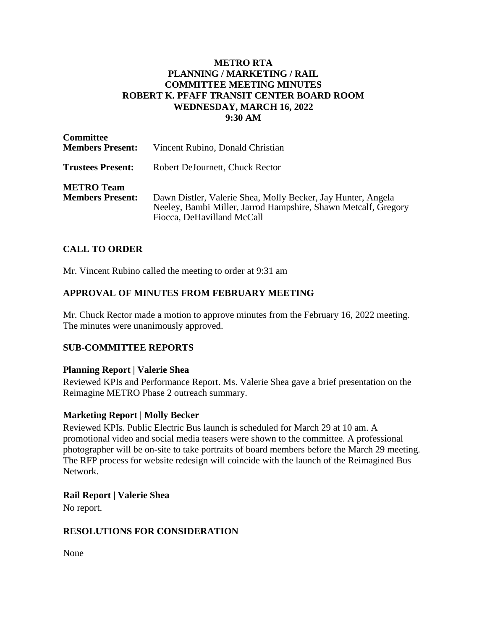## **METRO RTA PLANNING / MARKETING / RAIL COMMITTEE MEETING MINUTES ROBERT K. PFAFF TRANSIT CENTER BOARD ROOM WEDNESDAY, MARCH 16, 2022 9:30 AM**

| <b>Committee</b><br><b>Members Present:</b>  | Vincent Rubino, Donald Christian                                                                                                                             |
|----------------------------------------------|--------------------------------------------------------------------------------------------------------------------------------------------------------------|
| <b>Trustees Present:</b>                     | Robert DeJournett, Chuck Rector                                                                                                                              |
| <b>METRO</b> Team<br><b>Members Present:</b> | Dawn Distler, Valerie Shea, Molly Becker, Jay Hunter, Angela<br>Neeley, Bambi Miller, Jarrod Hampshire, Shawn Metcalf, Gregory<br>Fiocca, DeHavilland McCall |

## **CALL TO ORDER**

Mr. Vincent Rubino called the meeting to order at 9:31 am

## **APPROVAL OF MINUTES FROM FEBRUARY MEETING**

Mr. Chuck Rector made a motion to approve minutes from the February 16, 2022 meeting. The minutes were unanimously approved.

#### **SUB-COMMITTEE REPORTS**

#### **Planning Report | Valerie Shea**

Reviewed KPIs and Performance Report. Ms. Valerie Shea gave a brief presentation on the Reimagine METRO Phase 2 outreach summary.

#### **Marketing Report | Molly Becker**

Reviewed KPIs. Public Electric Bus launch is scheduled for March 29 at 10 am. A promotional video and social media teasers were shown to the committee. A professional photographer will be on-site to take portraits of board members before the March 29 meeting. The RFP process for website redesign will coincide with the launch of the Reimagined Bus Network.

#### **Rail Report | Valerie Shea**

No report.

#### **RESOLUTIONS FOR CONSIDERATION**

None